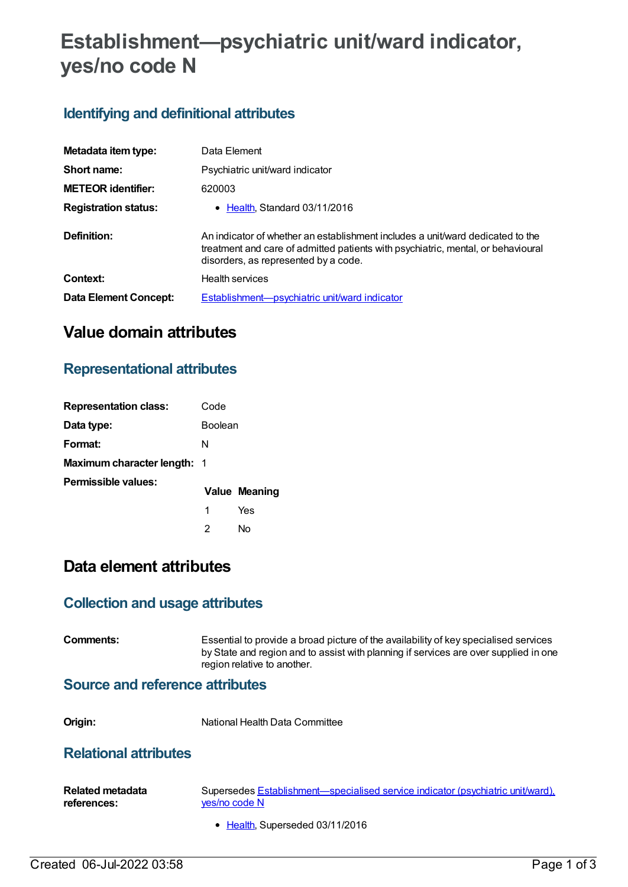# **Establishment—psychiatric unit/ward indicator, yes/no code N**

### **Identifying and definitional attributes**

| Metadata item type:          | Data Element                                                                                                                                                                                               |
|------------------------------|------------------------------------------------------------------------------------------------------------------------------------------------------------------------------------------------------------|
| Short name:                  | Psychiatric unit/ward indicator                                                                                                                                                                            |
| <b>METEOR identifier:</b>    | 620003                                                                                                                                                                                                     |
| <b>Registration status:</b>  | • Health, Standard 03/11/2016                                                                                                                                                                              |
| Definition:                  | An indicator of whether an establishment includes a unit/ward dedicated to the<br>treatment and care of admitted patients with psychiatric, mental, or behavioural<br>disorders, as represented by a code. |
| Context:                     | <b>Health services</b>                                                                                                                                                                                     |
| <b>Data Element Concept:</b> | Establishment-psychiatric unit/ward indicator                                                                                                                                                              |

# **Value domain attributes**

### **Representational attributes**

| <b>Representation class:</b>       | Code           |                      |
|------------------------------------|----------------|----------------------|
| Data type:                         | <b>Boolean</b> |                      |
| Format:                            | N              |                      |
| <b>Maximum character length: 1</b> |                |                      |
| Permissible values:                |                | <b>Value Meaning</b> |
|                                    | 1              | Yes                  |
|                                    | 2              | N٥                   |

## **Data element attributes**

### **Collection and usage attributes**

**Comments:** Essential to provide a broad picture of the availability of key specialised services by State and region and to assist with planning if services are over supplied in one region relative to another.

#### **Source and reference attributes**

**Origin:** National Health Data Committee

### **Relational attributes**

| Related metadata | Supersedes Establishment—specialised service indicator (psychiatric unit/ward), |
|------------------|---------------------------------------------------------------------------------|
| references:      | ves/no code N                                                                   |

• [Health](https://meteor.aihw.gov.au/RegistrationAuthority/12), Superseded 03/11/2016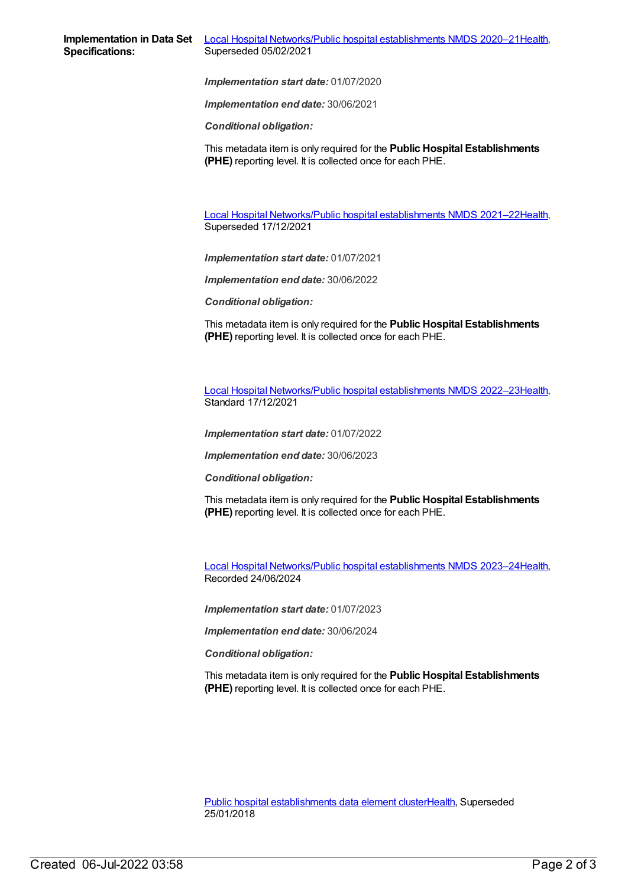*Implementation start date:* 01/07/2020

*Implementation end date:* 30/06/2021

*Conditional obligation:*

This metadata item is only required for the **Public Hospital Establishments (PHE)** reporting level. It is collected once for each PHE.

Local Hospital [Networks/Public](https://meteor.aihw.gov.au/content/727356) hospital establishments NMDS 2021–22[Health](https://meteor.aihw.gov.au/RegistrationAuthority/12), Superseded 17/12/2021

*Implementation start date:* 01/07/2021

*Implementation end date:* 30/06/2022

*Conditional obligation:*

This metadata item is only required for the **Public Hospital Establishments (PHE)** reporting level. It is collected once for each PHE.

Local Hospital [Networks/Public](https://meteor.aihw.gov.au/content/742044) hospital establishments NMDS 2022–23[Health](https://meteor.aihw.gov.au/RegistrationAuthority/12), Standard 17/12/2021

*Implementation start date:* 01/07/2022

*Implementation end date:* 30/06/2023

*Conditional obligation:*

This metadata item is only required for the **Public Hospital Establishments (PHE)** reporting level. It is collected once for each PHE.

Local Hospital [Networks/Public](https://meteor.aihw.gov.au/content/756101) hospital establishments NMDS 2023–24[Health](https://meteor.aihw.gov.au/RegistrationAuthority/12), Recorded 24/06/2024

*Implementation start date:* 01/07/2023

*Implementation end date:* 30/06/2024

*Conditional obligation:*

This metadata item is only required for the **Public Hospital Establishments (PHE)** reporting level. It is collected once for each PHE.

Public hospital [establishments](https://meteor.aihw.gov.au/content/643172) data element cluste[rHealth](https://meteor.aihw.gov.au/RegistrationAuthority/12), Superseded 25/01/2018